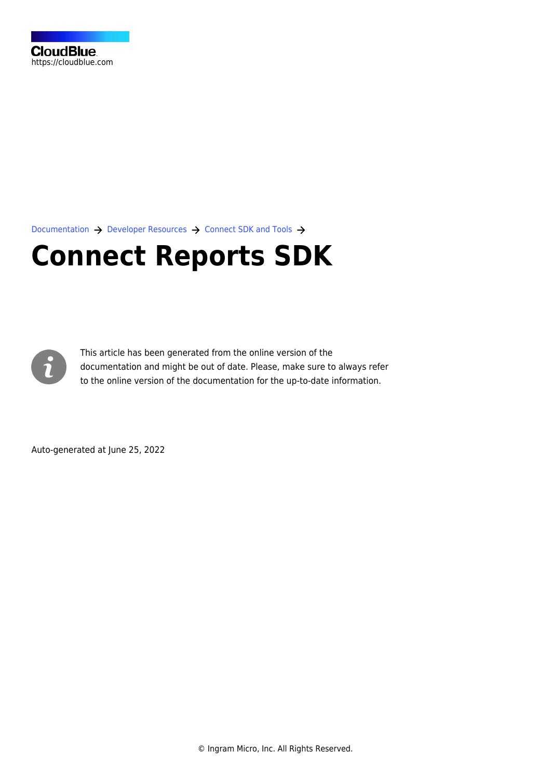[Documentation](https://connect.cloudblue.com/documentation)  $\rightarrow$  [Developer Resources](https://connect.cloudblue.com/community/developers/)  $\rightarrow$  [Connect SDK and Tools](https://connect.cloudblue.com/community/developers/sdk/)  $\rightarrow$ 

# **[Connect Reports SDK](https://connect.cloudblue.com/community/developers/sdk/connect-reports-sdk/)**



This article has been generated from the online version of the documentation and might be out of date. Please, make sure to always refer to the online version of the documentation for the up-to-date information.

Auto-generated at June 25, 2022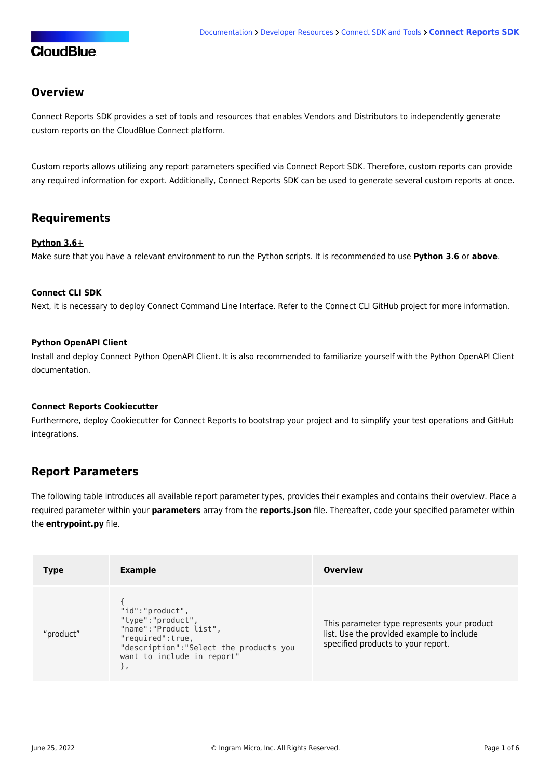### **Overview**

[Connect Reports SDK](https://github.com/cloudblue/connect-reports) provides a set of tools and resources that enables Vendors and Distributors to independently generate custom reports on the CloudBlue Connect platform.

Custom reports allows utilizing any report parameters specified via Connect Report SDK. Therefore, custom reports can provide any required information for export. Additionally, Connect Reports SDK can be used to generate several custom reports at once.

### **Requirements**

### **Python 3.6+**

Make sure that you have a relevant environment to run the Python scripts. It is recommended to use **Python 3.6** or **above**.

#### **[Connect CLI SDK](https://connect.cloudblue.com/community/sdk/cli/)**

Next, it is necessary to deploy Connect Command Line Interface. Refer to the [Connect CLI](https://github.com/cloudblue/connect-cli) GitHub project for more information.

#### **[Python OpenAPI Client](https://connect.cloudblue.com/community/sdk/python-openapi-client/)**

Install and deploy Connect Python OpenAPI Client. It is also recommended to familiarize yourself with the [Python OpenAPI Client](https://connect-openapi-client.readthedocs.io/en/latest/) [documentation](https://connect-openapi-client.readthedocs.io/en/latest/).

#### **[Connect Reports Cookiecutter](https://github.com/cloudblue/connect-report-python-boilerplate)**

Furthermore, deploy Cookiecutter for Connect Reports to bootstrap your project and to simplify your test operations and GitHub integrations.

### **Report Parameters**

The following table introduces all available report parameter types, provides their examples and contains their overview. Place a required parameter within your **parameters** array from the **reports.json** file. Thereafter, code your specified parameter within the **entrypoint.py** file.

| <b>Type</b> | <b>Example</b>                                                                                                                                               | <b>Overview</b>                                                                                                                |
|-------------|--------------------------------------------------------------------------------------------------------------------------------------------------------------|--------------------------------------------------------------------------------------------------------------------------------|
| "product"   | "id":"product",<br>"type":"product",<br>"name": "Product list",<br>"required":true,<br>"description": "Select the products you<br>want to include in report" | This parameter type represents your product<br>list. Use the provided example to include<br>specified products to your report. |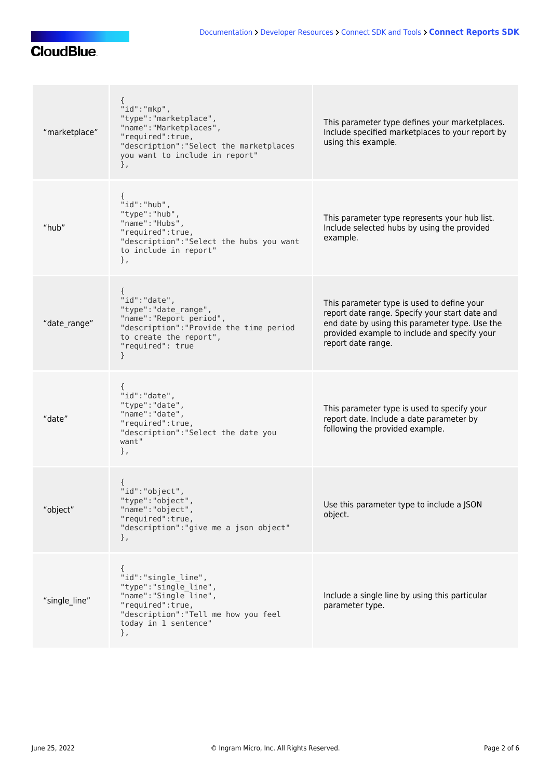| "marketplace" | "id":"mkp",<br>"type": "marketplace",<br>"name": "Marketplaces",<br>"required":true,<br>"description": "Select the marketplaces<br>you want to include in report"<br>}, | This parameter type defines your marketplaces.<br>Include specified marketplaces to your report by<br>using this example.                                                                                            |
|---------------|-------------------------------------------------------------------------------------------------------------------------------------------------------------------------|----------------------------------------------------------------------------------------------------------------------------------------------------------------------------------------------------------------------|
| "hub"         | ₹<br>"id":"hub",<br>"type": "hub",<br>"name": "Hubs",<br>"required":true,<br>"description": "Select the hubs you want<br>to include in report"<br>},                    | This parameter type represents your hub list.<br>Include selected hubs by using the provided<br>example.                                                                                                             |
| "date_range"  | "id":"date",<br>"type": "date_range",<br>"name": "Report period",<br>"description": "Provide the time period<br>to create the report",<br>"required": true<br>ł         | This parameter type is used to define your<br>report date range. Specify your start date and<br>end date by using this parameter type. Use the<br>provided example to include and specify your<br>report date range. |
| "date"        | "id":"date",<br>"type": "date",<br>"name": "date",<br>"required":true,<br>"description": "Select the date you<br>want"<br>},                                            | This parameter type is used to specify your<br>report date. Include a date parameter by<br>following the provided example.                                                                                           |
| "object"      | "id":"object",<br>"type":"object"<br>"name":"object",<br>"required":true,<br>"description": "give me a json object"<br>},                                               | Use this parameter type to include a JSON<br>object.                                                                                                                                                                 |
| "single line" | "id":"single line",<br>"type":"single_line",<br>"name":"Single line",<br>"required":true,<br>"description": "Tell me how you feel<br>today in 1 sentence"<br>},         | Include a single line by using this particular<br>parameter type.                                                                                                                                                    |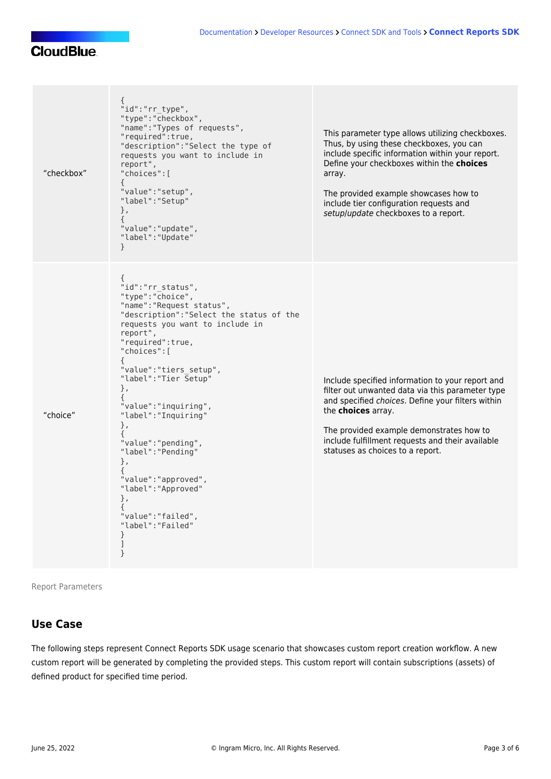| "checkbox" | €<br>"id":"rr type",<br>"type":"checkbox",<br>"name": "Types of requests",<br>"required":true,<br>"description": "Select the type of<br>requests you want to include in<br>report",<br>"choices":[<br>€<br>"value": "setup",<br>"label": "Setup"<br>},<br>€<br>"value": "update",<br>"label": "Update"<br>}                                                                                                                                                                                         | This parameter type allows utilizing checkboxes.<br>Thus, by using these checkboxes, you can<br>include specific information within your report.<br>Define your checkboxes within the choices<br>array.<br>The provided example showcases how to<br>include tier configuration requests and<br>setup/update checkboxes to a report. |
|------------|-----------------------------------------------------------------------------------------------------------------------------------------------------------------------------------------------------------------------------------------------------------------------------------------------------------------------------------------------------------------------------------------------------------------------------------------------------------------------------------------------------|-------------------------------------------------------------------------------------------------------------------------------------------------------------------------------------------------------------------------------------------------------------------------------------------------------------------------------------|
| "choice"   | "id":"rr_status",<br>"type":"Choice",<br>"name": "Request status",<br>"description": "Select the status of the<br>requests you want to include in<br>report",<br>"required":true,<br>"choices":[<br>"value": "tiers_setup",<br>"label": "Tier Setup"<br>},<br>€<br>"value":"inquiring",<br>"label": "Inquiring"<br>},<br>€<br>"value":"pending",<br>"label": "Pending"<br>},<br>€<br>"value": "approved",<br>"label": "Approved"<br>},<br>€<br>"value":"failed",<br>"label":"Failed"<br>}<br>1<br>} | Include specified information to your report and<br>filter out unwanted data via this parameter type<br>and specified choices. Define your filters within<br>the choices array.<br>The provided example demonstrates how to<br>include fulfillment requests and their available<br>statuses as choices to a report.                 |

Report Parameters

### **Use Case**

The following steps represent Connect Reports SDK usage scenario that showcases custom report creation workflow. A new custom report will be generated by completing the provided steps. This custom report will contain subscriptions (assets) of defined product for specified time period.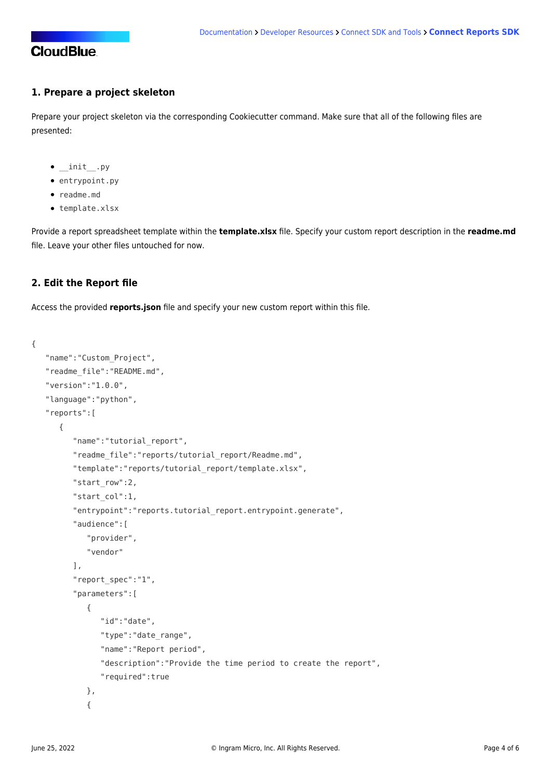### **1. Prepare a project skeleton**

Prepare your project skeleton via the corresponding [Cookiecutter](https://github.com/cloudblue/connect-report-python-boilerplate) command. Make sure that all of the following files are presented:

- $\bullet$  \_init\_\_.py
- entrypoint.py
- readme.md
- template.xlsx

Provide a report spreadsheet template within the **template.xlsx** file. Specify your custom report description in the **readme.md** file. Leave your other files untouched for now.

### **2. Edit the Report file**

Access the provided **reports.json** file and specify your new custom report within this file.

```
{
    "name":"Custom_Project",
    "readme_file":"README.md",
    "version":"1.0.0",
    "language":"python",
    "reports":[
       {
          "name":"tutorial_report",
          "readme_file":"reports/tutorial_report/Readme.md",
          "template":"reports/tutorial_report/template.xlsx",
          "start_row":2,
          "start_col":1,
          "entrypoint":"reports.tutorial_report.entrypoint.generate",
          "audience":[
             "provider",
             "vendor"
          ],
          "report_spec":"1",
          "parameters":[
\{ "id":"date",
                "type":"date_range",
                "name":"Report period",
                "description":"Provide the time period to create the report",
                "required":true
             },
\{
```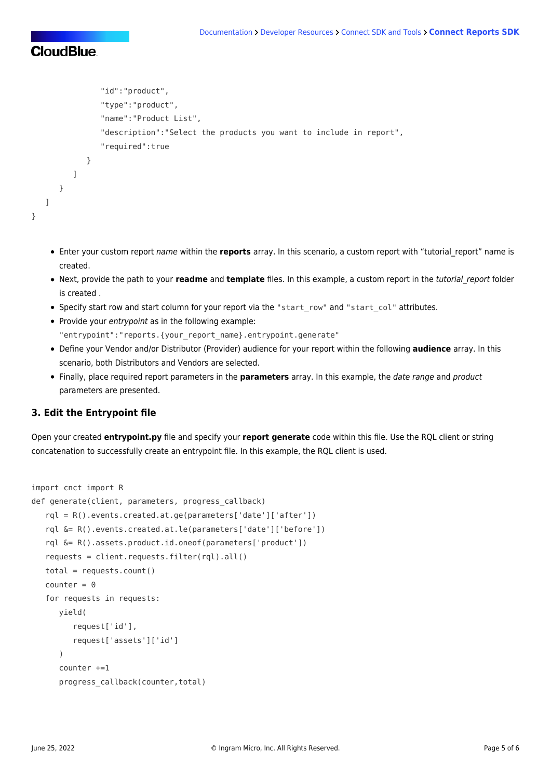```
 "id":"product",
                "type":"product",
                "name":"Product List",
                "description":"Select the products you want to include in report",
                "required":true
 }
          ]
       }
    ]
}
```
- Enter your custom report name within the **reports** array. In this scenario, a custom report with "tutorial\_report" name is created.
- Next, provide the path to your **readme** and **template** files. In this example, a custom report in the tutorial\_report folder is created .
- Specify start row and start column for your report via the "start row" and "start col" attributes.
- Provide your entrypoint as in the following example: "entrypoint":"reports.{your\_report\_name}.entrypoint.generate"
- Define your Vendor and/or Distributor (Provider) audience for your report within the following **audience** array. In this scenario, both Distributors and Vendors are selected.
- Finally, place required report parameters in the **parameters** array. In this example, the date range and product parameters are presented.

### **3. Edit the Entrypoint file**

Open your created **entrypoint.py** file and specify your **report generate** code within this file. Use the RQL client or string concatenation to successfully create an entrypoint file. In this example, the RQL client is used.

```
import cnct import R
def generate(client, parameters, progress callback)
    rql = R().events.created.at.ge(parameters['date']['after'])
    rql &= R().events.created.at.le(parameters['date']['before'])
    rql &= R().assets.product.id.oneof(parameters['product'])
    requests = client.requests.filter(rql).all()
    total = requests.count()
   counter = 0 for requests in requests:
       yield(
          request['id'],
          request['assets']['id']
       )
       counter +=1
      progress callback(counter,total)
```